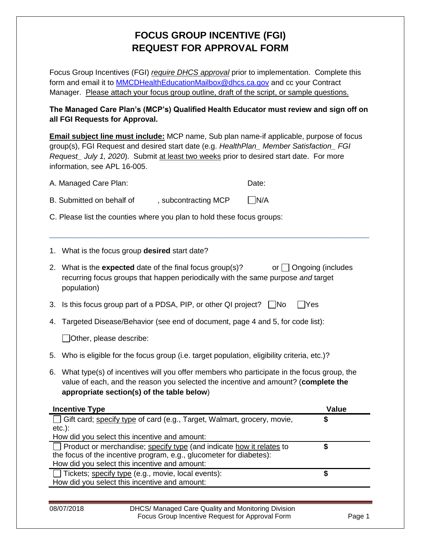## **FOCUS GROUP INCENTIVE (FGI) REQUEST FOR APPROVAL FORM**

Focus Group Incentives (FGI) *require DHCS approval* prior to implementation. Complete this form and email it to **MMCDHealthEducationMailbox@dhcs.ca.gov** and cc your Contract Manager. Please attach your focus group outline, draft of the script, or sample questions.

## **The Managed Care Plan's (MCP's) Qualified Health Educator must review and sign off on all FGI Requests for Approval.**

**Email subject line must include:** MCP name, Sub plan name-if applicable, purpose of focus group(s), FGI Request and desired start date (e.g. *HealthPlan\_ Member Satisfaction\_ FGI Request* July 1, 2020). Submit at least two weeks prior to desired start date. For more information, see APL 16-005.

| A. Managed Care Plan:                                                                                                                                                                                                            |                      | Date: |                   |
|----------------------------------------------------------------------------------------------------------------------------------------------------------------------------------------------------------------------------------|----------------------|-------|-------------------|
| B. Submitted on behalf of                                                                                                                                                                                                        | , subcontracting MCP | N/A   |                   |
| C. Please list the counties where you plan to hold these focus groups:                                                                                                                                                           |                      |       |                   |
| What is the focus group desired start date?<br>1.                                                                                                                                                                                |                      |       |                   |
| 2. What is the <b>expected</b> date of the final focus group(s)?<br>recurring focus groups that happen periodically with the same purpose and target<br>population)                                                              |                      | or I  | Ongoing (includes |
| Is this focus group part of a PDSA, PIP, or other QI project? $\Box$ No<br>3.                                                                                                                                                    |                      |       | lYes              |
| Targeted Disease/Behavior (see end of document, page 4 and 5, for code list):<br>4.                                                                                                                                              |                      |       |                   |
| Other, please describe:                                                                                                                                                                                                          |                      |       |                   |
| 5. Who is eligible for the focus group (i.e. target population, eligibility criteria, etc.)?                                                                                                                                     |                      |       |                   |
| 6. What type(s) of incentives will you offer members who participate in the focus group, the<br>value of each, and the reason you selected the incentive and amount? (complete the<br>appropriate section(s) of the table below) |                      |       |                   |
| <b>Incentive Type</b>                                                                                                                                                                                                            |                      |       | <b>Value</b>      |
| Gift card; specify type of card (e.g., Target, Walmart, grocery, movie,<br>$etc.$ ):<br>How did you select this incentive and amount:                                                                                            |                      |       | \$                |
| Product or merchandise; specify type (and indicate how it relates to<br>the focus of the incentive program, e.g., glucometer for diabetes):                                                                                      |                      |       | \$                |
| How did you select this incentive and amount:                                                                                                                                                                                    |                      |       |                   |

| 08/07/2018 | DHCS/ Managed Care Quality and Monitoring Division |        |
|------------|----------------------------------------------------|--------|
|            | Focus Group Incentive Request for Approval Form    | Page 1 |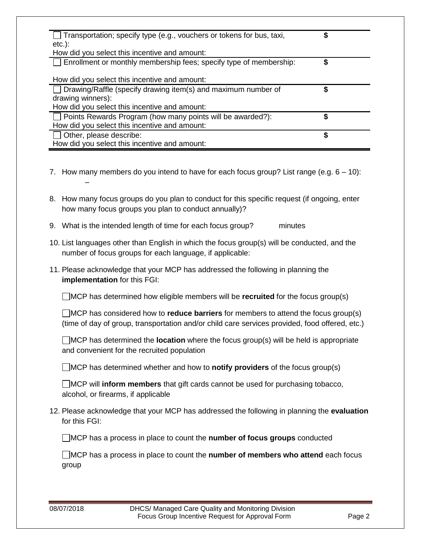| Transportation; specify type (e.g., vouchers or tokens for bus, taxi, | \$ |
|-----------------------------------------------------------------------|----|
| $etc.$ ):<br>How did you select this incentive and amount:            |    |
| Enrollment or monthly membership fees; specify type of membership:    | \$ |
| How did you select this incentive and amount:                         |    |
| Drawing/Raffle (specify drawing item(s) and maximum number of         |    |
| drawing winners):<br>How did you select this incentive and amount:    |    |
| Points Rewards Program (how many points will be awarded?):            |    |
| How did you select this incentive and amount:                         |    |
| Other, please describe:                                               | \$ |
| How did you select this incentive and amount:                         |    |

- 7. How many members do you intend to have for each focus group? List range (e.g.  $6 10$ ): –
- 8. How many focus groups do you plan to conduct for this specific request (if ongoing, enter how many focus groups you plan to conduct annually)?
- 9. What is the intended length of time for each focus group? minutes
- 10. List languages other than English in which the focus group(s) will be conducted, and the number of focus groups for each language, if applicable:
- 11. Please acknowledge that your MCP has addressed the following in planning the **implementation** for this FGI:

MCP has determined how eligible members will be **recruited** for the focus group(s)

MCP has considered how to **reduce barriers** for members to attend the focus group(s) (time of day of group, transportation and/or child care services provided, food offered, etc.)

MCP has determined the **location** where the focus group(s) will be held is appropriate and convenient for the recruited population

MCP has determined whether and how to **notify providers** of the focus group(s)

MCP will **inform members** that gift cards cannot be used for purchasing tobacco, alcohol, or firearms, if applicable

12. Please acknowledge that your MCP has addressed the following in planning the **evaluation** for this FGI:

MCP has a process in place to count the **number of focus groups** conducted

MCP has a process in place to count the **number of members who attend** each focus group